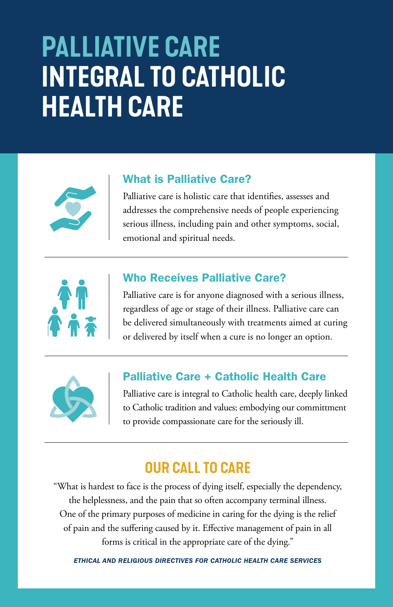## **PALLIATIVE CARE INTEGRAL TO CATHOLIC HEALTH CARE**



#### What is Palliative Care?

Palliative care is holistic care that identifies, assesses and addresses the comprehensive needs of people experiencing serious illness, including pain and other symptoms, social, emotional and spiritual needs.



#### Who Receives Palliative Care?

Palliative care is for anyone diagnosed with a serious illness, regardless of age or stage of their illness. Palliative care can be delivered simultaneously with treatments aimed at curing or delivered by itself when a cure is no longer an option.



#### Palliative Care + Catholic Health Care

Palliative care is integral to Catholic health care, deeply linked to Catholic tradition and values; embodying our committment to provide compassionate care for the seriously ill.

### **OUR CALL TO CARE**

"What is hardest to face is the process of dying itself, especially the dependency, the helplessness, and the pain that so often accompany terminal illness. One of the primary purposes of medicine in caring for the dying is the relief of pain and the suffering caused by it. Effective management of pain in all forms is critical in the appropriate care of the dying."

*ETHICAL AND RELIGIOUS DIRECTIVES FOR CATHOLIC HEALTH CARE SERVICES*